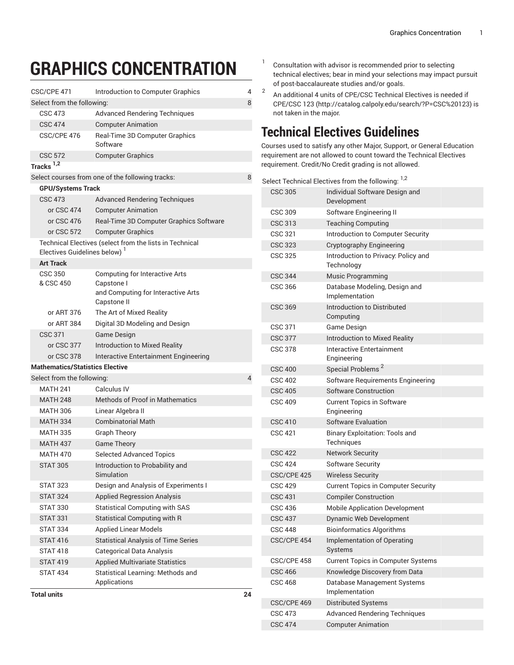## **GRAPHICS CONCENTRATION**

| CSC/CPE 471<br>Introduction to Computer Graphics<br>4 |                                                         |                |  |  |  |  |  |
|-------------------------------------------------------|---------------------------------------------------------|----------------|--|--|--|--|--|
| Select from the following:                            |                                                         |                |  |  |  |  |  |
| <b>CSC 473</b>                                        | <b>Advanced Rendering Techniques</b>                    |                |  |  |  |  |  |
| <b>CSC 474</b>                                        | <b>Computer Animation</b>                               |                |  |  |  |  |  |
| CSC/CPE 476                                           | <b>Real-Time 3D Computer Graphics</b><br>Software       |                |  |  |  |  |  |
| <b>CSC 572</b>                                        | <b>Computer Graphics</b>                                |                |  |  |  |  |  |
| Tracks <sup>1,2</sup>                                 |                                                         |                |  |  |  |  |  |
| Select courses from one of the following tracks:      |                                                         |                |  |  |  |  |  |
| <b>GPU/Systems Track</b>                              |                                                         |                |  |  |  |  |  |
| <b>CSC 473</b>                                        | <b>Advanced Rendering Techniques</b>                    |                |  |  |  |  |  |
| or CSC 474                                            | <b>Computer Animation</b>                               |                |  |  |  |  |  |
| or CSC 476                                            | Real-Time 3D Computer Graphics Software                 |                |  |  |  |  |  |
| or CSC 572                                            | <b>Computer Graphics</b>                                |                |  |  |  |  |  |
| Electives Guidelines below) <sup>1</sup>              | Technical Electives (select from the lists in Technical |                |  |  |  |  |  |
| <b>Art Track</b>                                      |                                                         |                |  |  |  |  |  |
| <b>CSC 350</b>                                        | <b>Computing for Interactive Arts</b>                   |                |  |  |  |  |  |
| & CSC 450                                             | Capstone I                                              |                |  |  |  |  |  |
|                                                       | and Computing for Interactive Arts<br>Capstone II       |                |  |  |  |  |  |
| or ART 376                                            | The Art of Mixed Reality                                |                |  |  |  |  |  |
| or ART 384                                            | Digital 3D Modeling and Design                          |                |  |  |  |  |  |
| <b>CSC 371</b>                                        | Game Design                                             |                |  |  |  |  |  |
| or CSC 377                                            | Introduction to Mixed Reality                           |                |  |  |  |  |  |
| or CSC 378                                            | Interactive Entertainment Engineering                   |                |  |  |  |  |  |
| <b>Mathematics/Statistics Elective</b>                |                                                         |                |  |  |  |  |  |
| Select from the following:                            |                                                         | $\overline{4}$ |  |  |  |  |  |
| <b>MATH 241</b>                                       | Calculus IV                                             |                |  |  |  |  |  |
| <b>MATH 248</b>                                       | <b>Methods of Proof in Mathematics</b>                  |                |  |  |  |  |  |
| <b>MATH 306</b>                                       | Linear Algebra II                                       |                |  |  |  |  |  |
| <b>MATH 334</b>                                       | <b>Combinatorial Math</b>                               |                |  |  |  |  |  |
| <b>MATH 335</b>                                       | <b>Graph Theory</b>                                     |                |  |  |  |  |  |
| <b>MATH 437</b>                                       | <b>Game Theory</b>                                      |                |  |  |  |  |  |
| <b>MATH 470</b>                                       | <b>Selected Advanced Topics</b>                         |                |  |  |  |  |  |
| <b>STAT 305</b>                                       | Introduction to Probability and<br>Simulation           |                |  |  |  |  |  |
| <b>STAT 323</b>                                       | Design and Analysis of Experiments I                    |                |  |  |  |  |  |
| <b>STAT 324</b>                                       | <b>Applied Regression Analysis</b>                      |                |  |  |  |  |  |
| <b>STAT 330</b>                                       | <b>Statistical Computing with SAS</b>                   |                |  |  |  |  |  |
| <b>STAT 331</b>                                       | <b>Statistical Computing with R</b>                     |                |  |  |  |  |  |
| <b>STAT 334</b>                                       | <b>Applied Linear Models</b>                            |                |  |  |  |  |  |
| <b>STAT 416</b>                                       | <b>Statistical Analysis of Time Series</b>              |                |  |  |  |  |  |
| <b>STAT 418</b>                                       | <b>Categorical Data Analysis</b>                        |                |  |  |  |  |  |
| <b>STAT 419</b>                                       | <b>Applied Multivariate Statistics</b>                  |                |  |  |  |  |  |
| <b>STAT 434</b>                                       | Statistical Learning: Methods and                       |                |  |  |  |  |  |
|                                                       | Applications                                            |                |  |  |  |  |  |
| <b>Total units</b>                                    |                                                         | 24             |  |  |  |  |  |

- 1 Consultation with advisor is recommended prior to selecting technical electives; bear in mind your selections may impact pursuit of post-baccalaureate studies and/or goals.
- 2 An additional 4 units of CPE/CSC Technical Electives is needed if CPE/[CSC 123](http://catalog.calpoly.edu/search/?P=CSC%20123) [\(http://catalog.calpoly.edu/search/?P=CSC%20123\)](http://catalog.calpoly.edu/search/?P=CSC%20123) is not taken in the major.

## **Technical Electives Guidelines**

Courses used to satisfy any other Major, Support, or General Education requirement are not allowed to count toward the Technical Electives requirement. Credit/No Credit grading is not allowed.

|                | Select Technical Electives from the following: <sup>1,2</sup> |
|----------------|---------------------------------------------------------------|
| <b>CSC 305</b> | Individual Software Design and                                |
|                | Development                                                   |
| <b>CSC 309</b> | Software Engineering II                                       |
| CSC 313        | <b>Teaching Computing</b>                                     |
| <b>CSC 321</b> | Introduction to Computer Security                             |
| <b>CSC 323</b> | Cryptography Engineering                                      |
| <b>CSC 325</b> | Introduction to Privacy: Policy and<br>Technology             |
| <b>CSC 344</b> | <b>Music Programming</b>                                      |
| <b>CSC 366</b> | Database Modeling, Design and<br>Implementation               |
| <b>CSC 369</b> | Introduction to Distributed<br>Computing                      |
| <b>CSC 371</b> | Game Design                                                   |
| <b>CSC 377</b> | <b>Introduction to Mixed Reality</b>                          |
| <b>CSC 378</b> | Interactive Entertainment<br>Engineering                      |
| <b>CSC 400</b> | Special Problems <sup>2</sup>                                 |
| <b>CSC 402</b> | Software Requirements Engineering                             |
| <b>CSC 405</b> | Software Construction                                         |
| <b>CSC 409</b> | <b>Current Topics in Software</b><br>Engineering              |
| <b>CSC 410</b> | <b>Software Evaluation</b>                                    |
| <b>CSC 421</b> | <b>Binary Exploitation: Tools and</b><br>Techniques           |
| <b>CSC 422</b> | <b>Network Security</b>                                       |
| <b>CSC 424</b> | <b>Software Security</b>                                      |
| CSC/CPE 425    | <b>Wireless Security</b>                                      |
| <b>CSC 429</b> | <b>Current Topics in Computer Security</b>                    |
| <b>CSC 431</b> | <b>Compiler Construction</b>                                  |
| <b>CSC 436</b> | <b>Mobile Application Development</b>                         |
| <b>CSC 437</b> | Dynamic Web Development                                       |
| <b>CSC 448</b> | <b>Bioinformatics Algorithms</b>                              |
| CSC/CPE 454    | <b>Implementation of Operating</b><br>Systems                 |
| CSC/CPE 458    | <b>Current Topics in Computer Systems</b>                     |
| <b>CSC 466</b> | Knowledge Discovery from Data                                 |
| <b>CSC 468</b> | Database Management Systems<br>Implementation                 |
| CSC/CPE 469    | <b>Distributed Systems</b>                                    |
| <b>CSC 473</b> | <b>Advanced Rendering Techniques</b>                          |
| <b>CSC 474</b> | <b>Computer Animation</b>                                     |
|                |                                                               |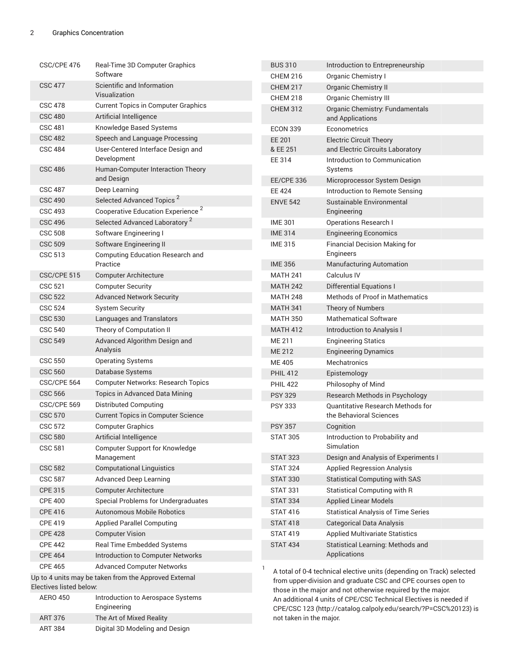ART 384 Digital 3D Modeling and Design

| CSC/CPE 476                                                         | <b>Real-Time 3D Computer Graphics</b><br>Software                                       |  | <b>BUS 310</b>                                                                                                                                                  | Introduction to Entrepreneurship                                    |  |  |
|---------------------------------------------------------------------|-----------------------------------------------------------------------------------------|--|-----------------------------------------------------------------------------------------------------------------------------------------------------------------|---------------------------------------------------------------------|--|--|
|                                                                     |                                                                                         |  | <b>CHEM 216</b>                                                                                                                                                 | Organic Chemistry I                                                 |  |  |
| Scientific and Information<br><b>CSC 477</b>                        |                                                                                         |  | <b>CHEM 217</b>                                                                                                                                                 | <b>Organic Chemistry II</b>                                         |  |  |
|                                                                     | Visualization                                                                           |  | <b>CHEM 218</b>                                                                                                                                                 | <b>Organic Chemistry III</b>                                        |  |  |
| <b>CSC 480</b>                                                      | <b>CSC 478</b><br><b>Current Topics in Computer Graphics</b><br>Artificial Intelligence |  | <b>CHEM 312</b>                                                                                                                                                 | Organic Chemistry: Fundamentals                                     |  |  |
| <b>CSC 481</b>                                                      | Knowledge Based Systems                                                                 |  |                                                                                                                                                                 | and Applications                                                    |  |  |
| <b>CSC 482</b>                                                      | Speech and Language Processing                                                          |  | <b>ECON 339</b>                                                                                                                                                 | Econometrics                                                        |  |  |
| <b>CSC 484</b>                                                      | User-Centered Interface Design and                                                      |  | <b>EE 201</b><br>& EE 251                                                                                                                                       | <b>Electric Circuit Theory</b><br>and Electric Circuits Laboratory  |  |  |
|                                                                     | Development                                                                             |  | EE 314                                                                                                                                                          | Introduction to Communication                                       |  |  |
| <b>CSC 486</b>                                                      | Human-Computer Interaction Theory<br>and Design                                         |  | <b>EE/CPE 336</b>                                                                                                                                               | Systems<br>Microprocessor System Design                             |  |  |
| <b>CSC 487</b>                                                      | Deep Learning                                                                           |  | EE 424                                                                                                                                                          | Introduction to Remote Sensing                                      |  |  |
| <b>CSC 490</b>                                                      | Selected Advanced Topics <sup>2</sup>                                                   |  | <b>ENVE 542</b>                                                                                                                                                 | Sustainable Environmental                                           |  |  |
| <b>CSC 493</b>                                                      | Cooperative Education Experience <sup>2</sup>                                           |  |                                                                                                                                                                 | Engineering                                                         |  |  |
| <b>CSC 496</b>                                                      | Selected Advanced Laboratory <sup>2</sup>                                               |  | <b>IME 301</b>                                                                                                                                                  | <b>Operations Research I</b>                                        |  |  |
| <b>CSC 508</b>                                                      | Software Engineering I                                                                  |  | <b>IME 314</b>                                                                                                                                                  | <b>Engineering Economics</b>                                        |  |  |
| <b>CSC 509</b>                                                      | Software Engineering II                                                                 |  | <b>IME 315</b>                                                                                                                                                  | <b>Financial Decision Making for</b>                                |  |  |
| <b>CSC 513</b>                                                      | <b>Computing Education Research and</b>                                                 |  |                                                                                                                                                                 | Engineers                                                           |  |  |
|                                                                     | Practice                                                                                |  | <b>IME 356</b>                                                                                                                                                  | <b>Manufacturing Automation</b>                                     |  |  |
| CSC/CPE 515                                                         | <b>Computer Architecture</b>                                                            |  | <b>MATH 241</b>                                                                                                                                                 | Calculus IV                                                         |  |  |
| <b>CSC 521</b>                                                      | <b>Computer Security</b>                                                                |  | <b>MATH 242</b>                                                                                                                                                 | <b>Differential Equations I</b>                                     |  |  |
| <b>CSC 522</b>                                                      | <b>Advanced Network Security</b>                                                        |  | <b>MATH 248</b>                                                                                                                                                 | <b>Methods of Proof in Mathematics</b>                              |  |  |
| <b>CSC 524</b>                                                      | <b>System Security</b>                                                                  |  | <b>MATH 341</b>                                                                                                                                                 | Theory of Numbers                                                   |  |  |
| <b>CSC 530</b>                                                      | Languages and Translators                                                               |  | <b>MATH 350</b>                                                                                                                                                 | <b>Mathematical Software</b>                                        |  |  |
| <b>CSC 540</b>                                                      | Theory of Computation II                                                                |  | <b>MATH 412</b>                                                                                                                                                 | Introduction to Analysis I                                          |  |  |
| <b>CSC 549</b>                                                      | Advanced Algorithm Design and                                                           |  | ME 211                                                                                                                                                          | <b>Engineering Statics</b>                                          |  |  |
|                                                                     | Analysis                                                                                |  | ME 212                                                                                                                                                          | <b>Engineering Dynamics</b>                                         |  |  |
| <b>CSC 550</b>                                                      | <b>Operating Systems</b>                                                                |  | <b>ME405</b>                                                                                                                                                    | <b>Mechatronics</b>                                                 |  |  |
| <b>CSC 560</b>                                                      | Database Systems                                                                        |  | <b>PHIL 412</b>                                                                                                                                                 | Epistemology                                                        |  |  |
| CSC/CPE 564                                                         | <b>Computer Networks: Research Topics</b>                                               |  | <b>PHIL 422</b>                                                                                                                                                 | Philosophy of Mind                                                  |  |  |
| <b>CSC 566</b>                                                      | Topics in Advanced Data Mining                                                          |  | <b>PSY 329</b>                                                                                                                                                  |                                                                     |  |  |
| CSC/CPE 569                                                         | <b>Distributed Computing</b>                                                            |  | <b>PSY 333</b>                                                                                                                                                  | Research Methods in Psychology<br>Quantitative Research Methods for |  |  |
| <b>CSC 570</b>                                                      | <b>Current Topics in Computer Science</b>                                               |  |                                                                                                                                                                 | the Behavioral Sciences                                             |  |  |
| <b>CSC 572</b>                                                      | <b>Computer Graphics</b>                                                                |  | <b>PSY 357</b>                                                                                                                                                  | Cognition                                                           |  |  |
| <b>CSC 580</b>                                                      | Artificial Intelligence                                                                 |  | <b>STAT 305</b>                                                                                                                                                 | Introduction to Probability and                                     |  |  |
| <b>CSC 581</b>                                                      | Computer Support for Knowledge                                                          |  |                                                                                                                                                                 | Simulation                                                          |  |  |
|                                                                     | Management                                                                              |  | <b>STAT 323</b>                                                                                                                                                 | Design and Analysis of Experiments I                                |  |  |
| <b>CSC 582</b>                                                      | <b>Computational Linguistics</b>                                                        |  | <b>STAT 324</b>                                                                                                                                                 | <b>Applied Regression Analysis</b>                                  |  |  |
| <b>CSC 587</b>                                                      | <b>Advanced Deep Learning</b>                                                           |  | <b>STAT 330</b>                                                                                                                                                 | <b>Statistical Computing with SAS</b>                               |  |  |
| <b>CPE 315</b>                                                      | <b>Computer Architecture</b>                                                            |  | <b>STAT 331</b>                                                                                                                                                 | Statistical Computing with R                                        |  |  |
| <b>CPE 400</b>                                                      | Special Problems for Undergraduates                                                     |  | <b>STAT 334</b>                                                                                                                                                 | <b>Applied Linear Models</b>                                        |  |  |
| <b>CPE 416</b>                                                      | <b>Autonomous Mobile Robotics</b>                                                       |  | <b>STAT 416</b>                                                                                                                                                 | <b>Statistical Analysis of Time Series</b>                          |  |  |
| <b>CPE 419</b>                                                      | <b>Applied Parallel Computing</b>                                                       |  | <b>STAT 418</b>                                                                                                                                                 | <b>Categorical Data Analysis</b>                                    |  |  |
| <b>CPE 428</b>                                                      | <b>Computer Vision</b>                                                                  |  | <b>STAT 419</b>                                                                                                                                                 | <b>Applied Multivariate Statistics</b>                              |  |  |
| <b>CPE 442</b>                                                      | Real Time Embedded Systems                                                              |  | <b>STAT 434</b>                                                                                                                                                 | Statistical Learning: Methods and                                   |  |  |
| <b>CPE 464</b>                                                      | Introduction to Computer Networks                                                       |  |                                                                                                                                                                 | Applications                                                        |  |  |
| <b>CPE 465</b>                                                      | <b>Advanced Computer Networks</b>                                                       |  |                                                                                                                                                                 |                                                                     |  |  |
|                                                                     | Up to 4 units may be taken from the Approved External                                   |  | A total of 0-4 technical elective units (depending on Track) selected                                                                                           |                                                                     |  |  |
|                                                                     | Electives listed below:                                                                 |  | from upper-division and graduate CSC and CPE courses open to<br>those in the major and not otherwise required by the major.                                     |                                                                     |  |  |
| <b>AERO 450</b><br>Introduction to Aerospace Systems<br>Engineering |                                                                                         |  | An additional 4 units of CPE/CSC Technical Electives is needed if<br>CPE/CSC 123 (http://catalog.calpoly.edu/search/?P=CSC%20123) is<br>not taken in the major. |                                                                     |  |  |
| <b>ART 376</b>                                                      | The Art of Mixed Reality                                                                |  |                                                                                                                                                                 |                                                                     |  |  |
|                                                                     |                                                                                         |  |                                                                                                                                                                 |                                                                     |  |  |